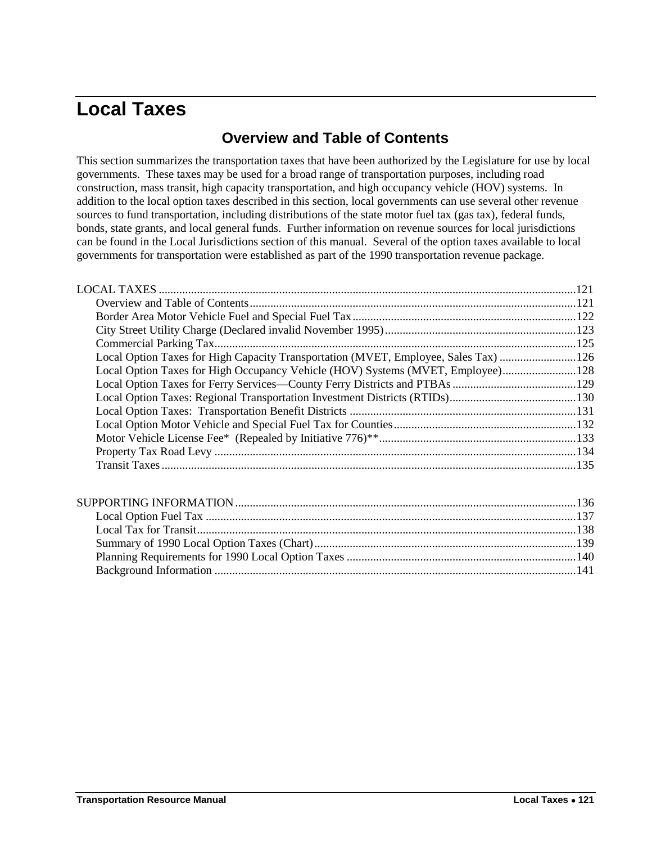# <span id="page-0-1"></span><span id="page-0-0"></span>**Local Taxes**

# **Overview and Table of Contents**

This section summarizes the transportation taxes that have been authorized by the Legislature for use by local governments. These taxes may be used for a broad range of transportation purposes, including road construction, mass transit, high capacity transportation, and high occupancy vehicle (HOV) systems. In addition to the local option taxes described in this section, local governments can use several other revenue sources to fund transportation, including distributions of the state motor fuel tax (gas tax), federal funds, bonds, state grants, and local general funds. Further information on revenue sources for local jurisdictions can be found in the Local Jurisdictions section of this manual. Several of the option taxes available to local governments for transportation were established as part of the 1990 transportation revenue package.

| Local Option Taxes for High Capacity Transportation (MVET, Employee, Sales Tax) 126 |  |
|-------------------------------------------------------------------------------------|--|
| Local Option Taxes for High Occupancy Vehicle (HOV) Systems (MVET, Employee) 128    |  |
|                                                                                     |  |
|                                                                                     |  |
|                                                                                     |  |
|                                                                                     |  |
|                                                                                     |  |
|                                                                                     |  |
|                                                                                     |  |
|                                                                                     |  |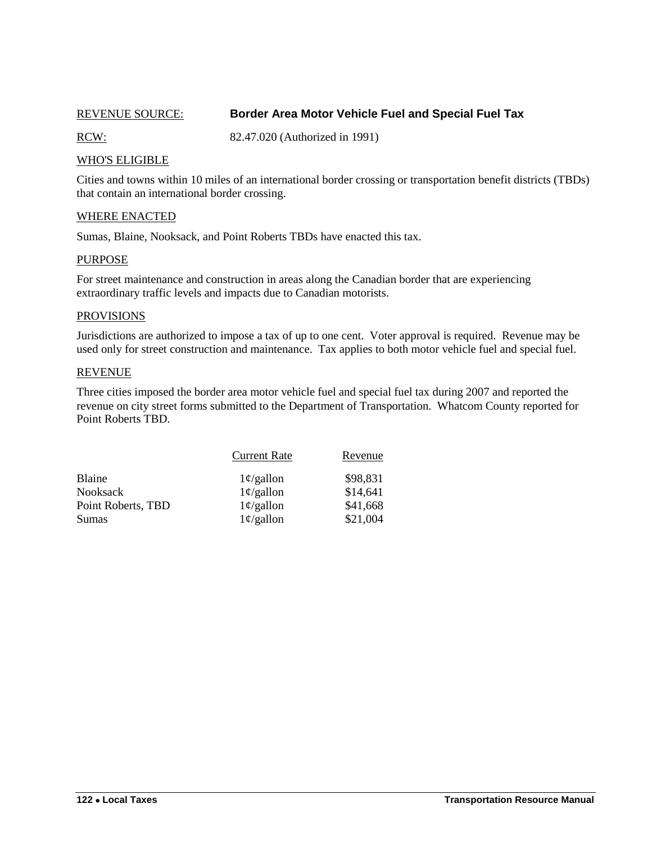## <span id="page-1-0"></span>REVENUE SOURCE: **Border Area Motor Vehicle Fuel and Special Fuel Tax**

RCW: 82.47.020 (Authorized in 1991)

### WHO'S ELIGIBLE

Cities and towns within 10 miles of an international border crossing or transportation benefit districts (TBDs) that contain an international border crossing.

#### WHERE ENACTED

Sumas, Blaine, Nooksack, and Point Roberts TBDs have enacted this tax.

#### PURPOSE

For street maintenance and construction in areas along the Canadian border that are experiencing extraordinary traffic levels and impacts due to Canadian motorists.

#### **PROVISIONS**

Jurisdictions are authorized to impose a tax of up to one cent. Voter approval is required. Revenue may be used only for street construction and maintenance. Tax applies to both motor vehicle fuel and special fuel.

#### REVENUE

Three cities imposed the border area motor vehicle fuel and special fuel tax during 2007 and reported the revenue on city street forms submitted to the Department of Transportation. Whatcom County reported for Point Roberts TBD.

|                    | <b>Current Rate</b> | Revenue  |
|--------------------|---------------------|----------|
| Blaine             | $1\phi$ /gallon     | \$98,831 |
| <b>Nooksack</b>    | $1\phi$ /gallon     | \$14,641 |
| Point Roberts, TBD | $1\phi$ /gallon     | \$41,668 |
| Sumas              | $1\phi$ /gallon     | \$21,004 |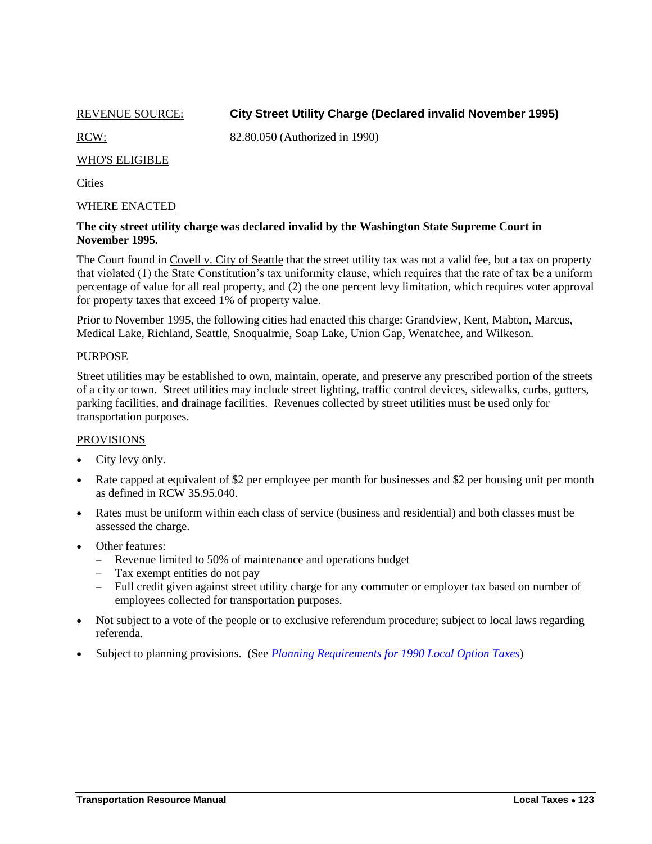<span id="page-2-0"></span>REVENUE SOURCE: **City Street Utility Charge (Declared invalid November 1995)**

RCW: 82.80.050 (Authorized in 1990)

#### WHO'S ELIGIBLE

**Cities** 

#### WHERE ENACTED

#### **The city street utility charge was declared invalid by the Washington State Supreme Court in November 1995.**

The Court found in Covell v. City of Seattle that the street utility tax was not a valid fee, but a tax on property that violated (1) the State Constitution's tax uniformity clause, which requires that the rate of tax be a uniform percentage of value for all real property, and (2) the one percent levy limitation, which requires voter approval for property taxes that exceed 1% of property value.

Prior to November 1995, the following cities had enacted this charge: Grandview, Kent, Mabton, Marcus, Medical Lake, Richland, Seattle, Snoqualmie, Soap Lake, Union Gap, Wenatchee, and Wilkeson.

#### PURPOSE

Street utilities may be established to own, maintain, operate, and preserve any prescribed portion of the streets of a city or town. Street utilities may include street lighting, traffic control devices, sidewalks, curbs, gutters, parking facilities, and drainage facilities. Revenues collected by street utilities must be used only for transportation purposes.

#### **PROVISIONS**

- City levy only.
- Rate capped at equivalent of \$2 per employee per month for businesses and \$2 per housing unit per month as defined in RCW 35.95.040.
- Rates must be uniform within each class of service (business and residential) and both classes must be assessed the charge.
- Other features:
	- Revenue limited to 50% of maintenance and operations budget
	- Tax exempt entities do not pay
	- Full credit given against street utility charge for any commuter or employer tax based on number of employees collected for transportation purposes.
- Not subject to a vote of the people or to exclusive referendum procedure; subject to local laws regarding referenda.
- Subject to planning provisions. (See *[Planning Requirements for 1990 Local Option Taxes](#page-19-0)*)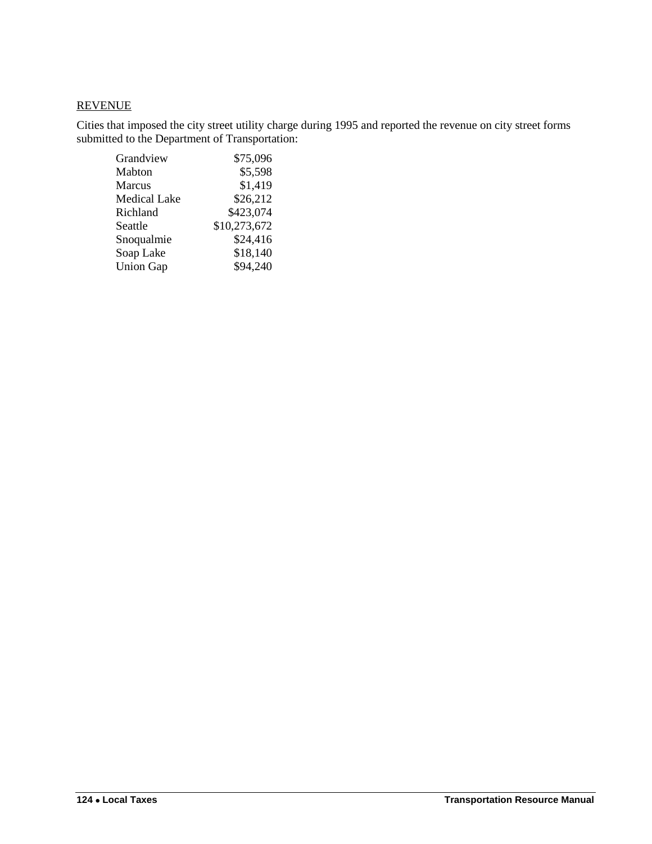# **REVENUE**

Cities that imposed the city street utility charge during 1995 and reported the revenue on city street forms submitted to the Department of Transportation:

| Grandview           | \$75,096     |
|---------------------|--------------|
| Mabton              | \$5,598      |
| <b>Marcus</b>       | \$1,419      |
| <b>Medical Lake</b> | \$26,212     |
| Richland            | \$423,074    |
| Seattle             | \$10,273,672 |
| Snoqualmie          | \$24,416     |
| Soap Lake           | \$18,140     |
| <b>Union Gap</b>    | \$94,240     |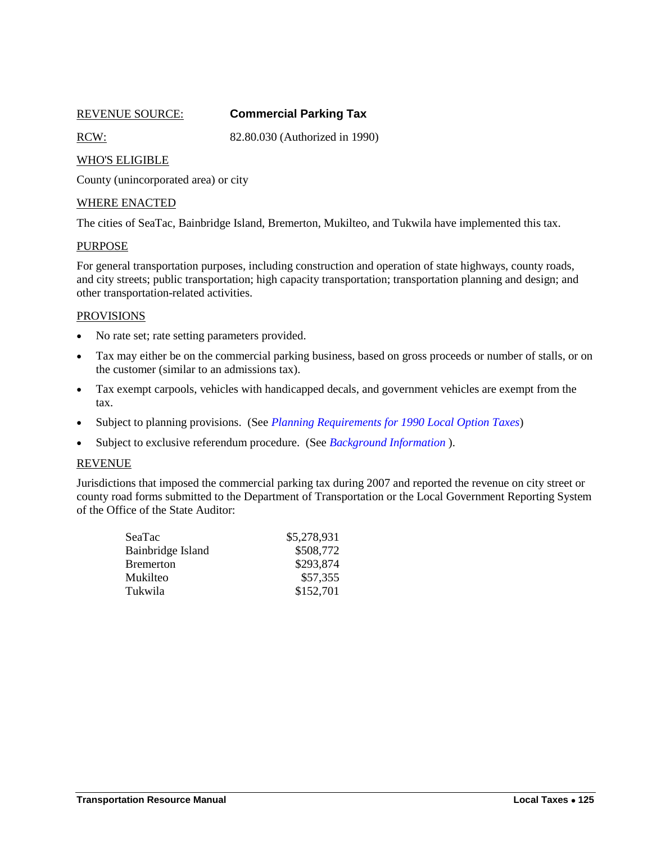<span id="page-4-0"></span>

# REVENUE SOURCE: **Commercial Parking Tax**

RCW: 82.80.030 (Authorized in 1990)

#### WHO'S ELIGIBLE

County (unincorporated area) or city

#### WHERE ENACTED

The cities of SeaTac, Bainbridge Island, Bremerton, Mukilteo, and Tukwila have implemented this tax.

### **PURPOSE**

For general transportation purposes, including construction and operation of state highways, county roads, and city streets; public transportation; high capacity transportation; transportation planning and design; and other transportation-related activities.

#### **PROVISIONS**

- No rate set; rate setting parameters provided.
- Tax may either be on the commercial parking business, based on gross proceeds or number of stalls, or on the customer (similar to an admissions tax).
- Tax exempt carpools, vehicles with handicapped decals, and government vehicles are exempt from the tax.
- Subject to planning provisions. (See *[Planning Requirements for 1990 Local Option Taxes](#page-19-0)*)
- Subject to exclusive referendum procedure. (See *[Background Information](#page-20-0)* ).

#### REVENUE

Jurisdictions that imposed the commercial parking tax during 2007 and reported the revenue on city street or county road forms submitted to the Department of Transportation or the Local Government Reporting System of the Office of the State Auditor:

| SeaTac            | \$5,278,931 |
|-------------------|-------------|
| Bainbridge Island | \$508,772   |
| <b>Bremerton</b>  | \$293,874   |
| Mukilteo          | \$57,355    |
| Tukwila           | \$152,701   |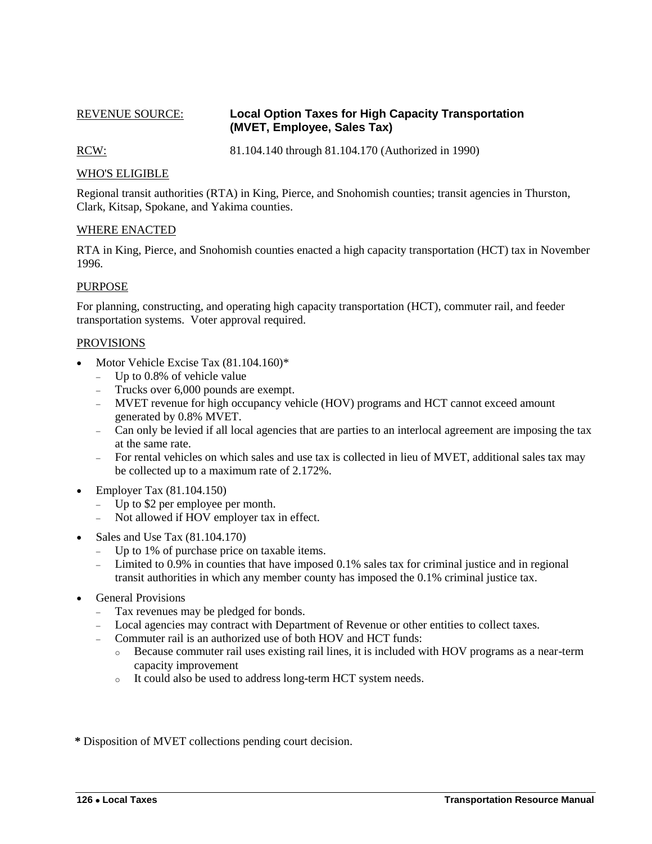## <span id="page-5-0"></span>REVENUE SOURCE: **Local Option Taxes for High Capacity Transportation (MVET, Employee, Sales Tax)**

RCW: 81.104.140 through 81.104.170 (Authorized in 1990)

## WHO'S ELIGIBLE

Regional transit authorities (RTA) in King, Pierce, and Snohomish counties; transit agencies in Thurston, Clark, Kitsap, Spokane, and Yakima counties.

#### WHERE ENACTED

RTA in King, Pierce, and Snohomish counties enacted a high capacity transportation (HCT) tax in November 1996.

#### PURPOSE

For planning, constructing, and operating high capacity transportation (HCT), commuter rail, and feeder transportation systems. Voter approval required.

#### PROVISIONS

- Motor Vehicle Excise Tax  $(81.104.160)$ <sup>\*</sup>
	- Up to 0.8% of vehicle value
	- Trucks over 6,000 pounds are exempt.
	- MVET revenue for high occupancy vehicle (HOV) programs and HCT cannot exceed amount generated by 0.8% MVET.
	- Can only be levied if all local agencies that are parties to an interlocal agreement are imposing the tax at the same rate.
	- For rental vehicles on which sales and use tax is collected in lieu of MVET, additional sales tax may be collected up to a maximum rate of 2.172%.
- $\bullet$  Employer Tax (81.104.150)
	- Up to \$2 per employee per month.
	- Not allowed if HOV employer tax in effect.
- Sales and Use Tax (81.104.170)
	- Up to 1% of purchase price on taxable items.
	- Limited to 0.9% in counties that have imposed 0.1% sales tax for criminal justice and in regional transit authorities in which any member county has imposed the 0.1% criminal justice tax.
- General Provisions
	- Tax revenues may be pledged for bonds.
	- Local agencies may contract with Department of Revenue or other entities to collect taxes.
	- Commuter rail is an authorized use of both HOV and HCT funds:
		- o Because commuter rail uses existing rail lines, it is included with HOV programs as a near-term capacity improvement
		- o It could also be used to address long-term HCT system needs.

**\*** Disposition of MVET collections pending court decision.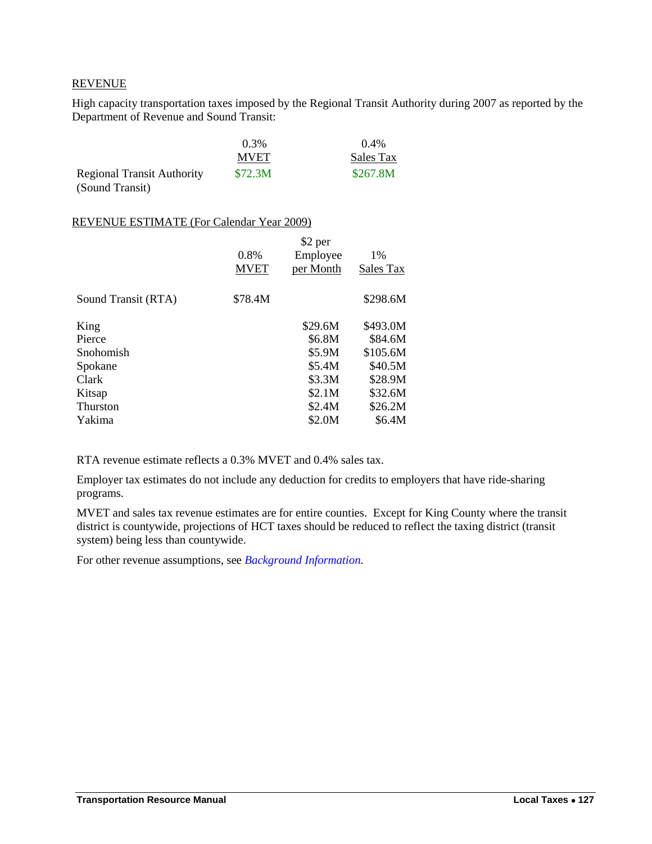### REVENUE

High capacity transportation taxes imposed by the Regional Transit Authority during 2007 as reported by the Department of Revenue and Sound Transit:

|                                   | 0.3%        | $0.4\%$   |
|-----------------------------------|-------------|-----------|
|                                   | <b>MVET</b> | Sales Tax |
| <b>Regional Transit Authority</b> | \$72.3M     | \$267.8M  |
| (Sound Transit)                   |             |           |

#### REVENUE ESTIMATE (For Calendar Year 2009)

|                     | 0.8%<br><b>MVET</b> | \$2 per<br>Employee<br>per Month | 1%<br>Sales Tax |
|---------------------|---------------------|----------------------------------|-----------------|
| Sound Transit (RTA) | \$78.4M             |                                  | \$298.6M        |
| King                |                     | \$29.6M                          | \$493.0M        |
| Pierce              |                     | \$6.8M                           | \$84.6M         |
| Snohomish           |                     | \$5.9M                           | \$105.6M        |
| Spokane             |                     | \$5.4M                           | \$40.5M         |
| Clark               |                     | \$3.3M                           | \$28.9M         |
| Kitsap              |                     | \$2.1M                           | \$32.6M         |
| <b>Thurston</b>     |                     | \$2.4M                           | \$26.2M         |
| Yakima              |                     | \$2.0M                           | \$6.4M          |
|                     |                     |                                  |                 |

RTA revenue estimate reflects a 0.3% MVET and 0.4% sales tax.

Employer tax estimates do not include any deduction for credits to employers that have ride-sharing programs.

MVET and sales tax revenue estimates are for entire counties. Except for King County where the transit district is countywide, projections of HCT taxes should be reduced to reflect the taxing district (transit system) being less than countywide.

For other revenue assumptions, see *[Background Information.](#page-20-0)*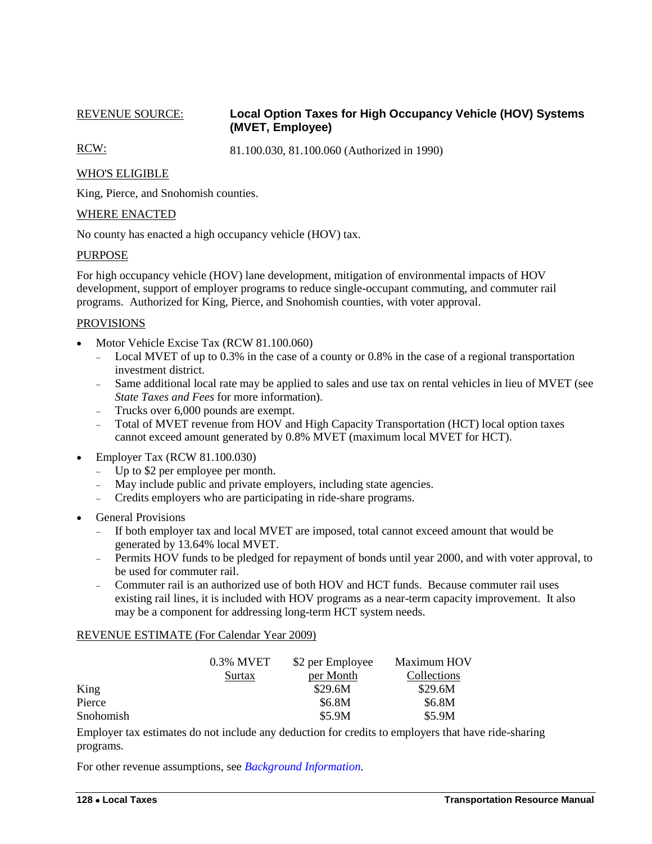## <span id="page-7-0"></span>REVENUE SOURCE: **Local Option Taxes for High Occupancy Vehicle (HOV) Systems (MVET, Employee)**

RCW: 81.100.030, 81.100.060 (Authorized in 1990)

## WHO'S ELIGIBLE

King, Pierce, and Snohomish counties.

#### WHERE ENACTED

No county has enacted a high occupancy vehicle (HOV) tax.

#### PURPOSE

For high occupancy vehicle (HOV) lane development, mitigation of environmental impacts of HOV development, support of employer programs to reduce single-occupant commuting, and commuter rail programs. Authorized for King, Pierce, and Snohomish counties, with voter approval.

#### PROVISIONS

- Motor Vehicle Excise Tax (RCW 81.100.060)
	- Local MVET of up to 0.3% in the case of a county or 0.8% in the case of a regional transportation investment district.
	- Same additional local rate may be applied to sales and use tax on rental vehicles in lieu of MVET (see *State Taxes and Fees* for more information).
	- Trucks over 6,000 pounds are exempt.<br>- Total of MVET revenue from HOV an
	- Total of MVET revenue from HOV and High Capacity Transportation (HCT) local option taxes cannot exceed amount generated by 0.8% MVET (maximum local MVET for HCT).
- Employer Tax (RCW 81.100.030)
	- Up to \$2 per employee per month.
	- May include public and private employers, including state agencies.
	- Credits employers who are participating in ride-share programs.
- General Provisions
	- If both employer tax and local MVET are imposed, total cannot exceed amount that would be generated by 13.64% local MVET.
	- Permits HOV funds to be pledged for repayment of bonds until year 2000, and with voter approval, to be used for commuter rail.
	- Commuter rail is an authorized use of both HOV and HCT funds. Because commuter rail uses existing rail lines, it is included with HOV programs as a near-term capacity improvement. It also may be a component for addressing long-term HCT system needs.

#### REVENUE ESTIMATE (For Calendar Year 2009)

|           | 0.3% MVET | \$2 per Employee | Maximum HOV |
|-----------|-----------|------------------|-------------|
|           | Surtax    | per Month        | Collections |
| King      |           | \$29.6M          | \$29.6M     |
| Pierce    |           | \$6.8M           | \$6.8M      |
| Snohomish |           | \$5.9M           | \$5.9M      |

Employer tax estimates do not include any deduction for credits to employers that have ride-sharing programs.

For other revenue assumptions, see *[Background Information.](#page-20-0)*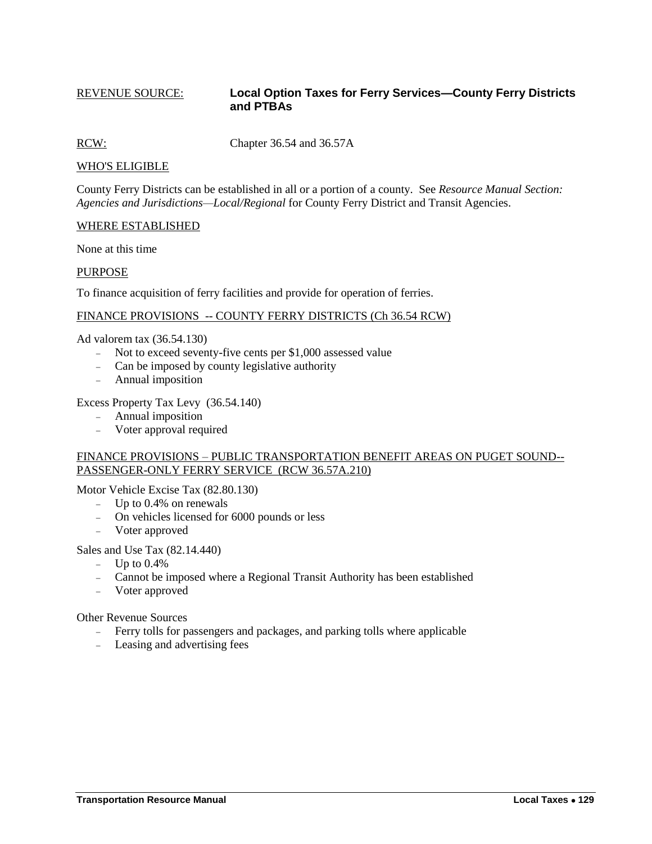#### <span id="page-8-0"></span>REVENUE SOURCE: **Local Option Taxes for Ferry Services—County Ferry Districts and PTBAs**

RCW: Chapter 36.54 and 36.57A

#### WHO'S ELIGIBLE

County Ferry Districts can be established in all or a portion of a county. See *Resource Manual Section: Agencies and Jurisdictions—Local/Regional* for County Ferry District and Transit Agencies.

#### WHERE ESTABLISHED

None at this time

#### PURPOSE

To finance acquisition of ferry facilities and provide for operation of ferries.

#### FINANCE PROVISIONS -- COUNTY FERRY DISTRICTS (Ch 36.54 RCW)

Ad valorem tax (36.54.130)

- Not to exceed seventy-five cents per \$1,000 assessed value
- Can be imposed by county legislative authority
- Annual imposition

#### Excess Property Tax Levy (36.54.140)

- Annual imposition
- Voter approval required

#### FINANCE PROVISIONS – PUBLIC TRANSPORTATION BENEFIT AREAS ON PUGET SOUND-- PASSENGER-ONLY FERRY SERVICE (RCW 36.57A.210)

Motor Vehicle Excise Tax (82.80.130)

- $-$  Up to 0.4% on renewals
- On vehicles licensed for 6000 pounds or less
- Voter approved

#### Sales and Use Tax (82.14.440)

- $-$  Up to 0.4%
- Cannot be imposed where a Regional Transit Authority has been established
- Voter approved

Other Revenue Sources

- Ferry tolls for passengers and packages, and parking tolls where applicable
- Leasing and advertising fees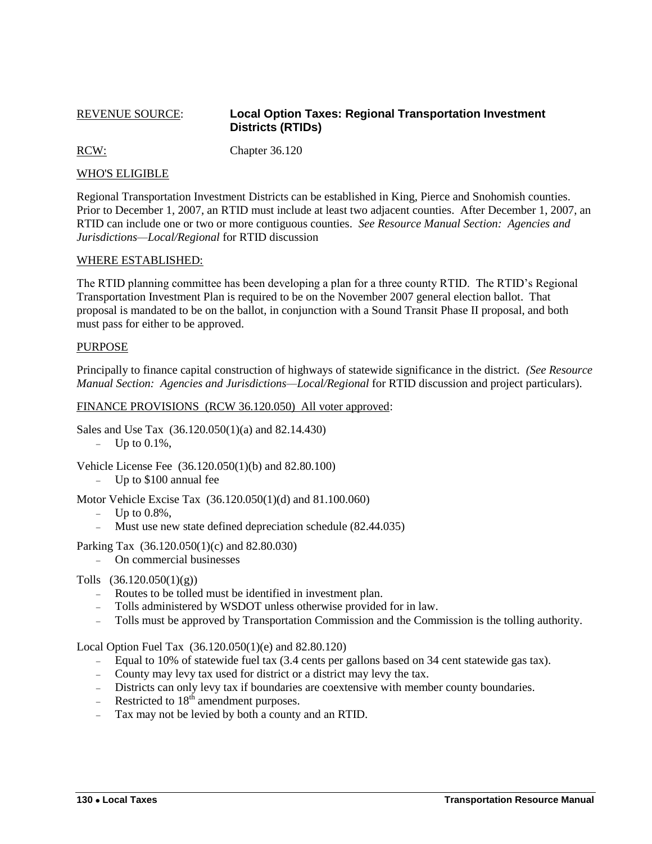## <span id="page-9-0"></span>REVENUE SOURCE: **Local Option Taxes: Regional Transportation Investment Districts (RTIDs)**

RCW: Chapter 36.120

### WHO'S ELIGIBLE

Regional Transportation Investment Districts can be established in King, Pierce and Snohomish counties. Prior to December 1, 2007, an RTID must include at least two adjacent counties. After December 1, 2007, an RTID can include one or two or more contiguous counties. *See Resource Manual Section: Agencies and Jurisdictions—Local/Regional* for RTID discussion

#### WHERE ESTABLISHED:

The RTID planning committee has been developing a plan for a three county RTID. The RTID's Regional Transportation Investment Plan is required to be on the November 2007 general election ballot. That proposal is mandated to be on the ballot, in conjunction with a Sound Transit Phase II proposal, and both must pass for either to be approved.

#### PURPOSE

Principally to finance capital construction of highways of statewide significance in the district. *(See Resource Manual Section: Agencies and Jurisdictions—Local/Regional* for RTID discussion and project particulars).

#### FINANCE PROVISIONS (RCW 36.120.050) All voter approved:

Sales and Use Tax (36.120.050(1)(a) and 82.14.430)

 $-$  Up to 0.1%,

Vehicle License Fee (36.120.050(1)(b) and 82.80.100)

- Up to \$100 annual fee

Motor Vehicle Excise Tax (36.120.050(1)(d) and 81.100.060)

- $-$  Up to 0.8%,
- Must use new state defined depreciation schedule (82.44.035)
- Parking Tax (36.120.050(1)(c) and 82.80.030)
	- On commercial businesses
- Tolls (36.120.050(1)(g))
	- Routes to be tolled must be identified in investment plan.
	- Tolls administered by WSDOT unless otherwise provided for in law.
	- Tolls must be approved by Transportation Commission and the Commission is the tolling authority.

Local Option Fuel Tax (36.120.050(1)(e) and 82.80.120)

- Equal to 10% of statewide fuel tax (3.4 cents per gallons based on 34 cent statewide gas tax).
- County may levy tax used for district or a district may levy the tax.
- Districts can only levy tax if boundaries are coextensive with member county boundaries.
- Restricted to  $18<sup>th</sup>$  amendment purposes.
- Tax may not be levied by both a county and an RTID.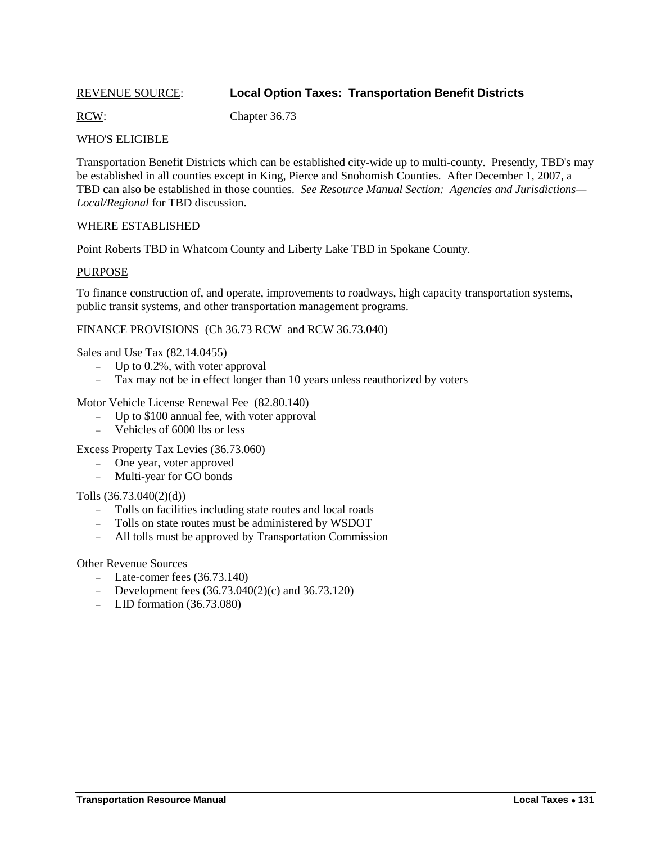# <span id="page-10-0"></span>REVENUE SOURCE: **Local Option Taxes: Transportation Benefit Districts**

RCW: Chapter 36.73

### WHO'S ELIGIBLE

Transportation Benefit Districts which can be established city-wide up to multi-county. Presently, TBD's may be established in all counties except in King, Pierce and Snohomish Counties. After December 1, 2007, a TBD can also be established in those counties. *See Resource Manual Section: Agencies and Jurisdictions— Local/Regional* for TBD discussion.

#### WHERE ESTABLISHED

Point Roberts TBD in Whatcom County and Liberty Lake TBD in Spokane County.

#### PURPOSE

To finance construction of, and operate, improvements to roadways, high capacity transportation systems, public transit systems, and other transportation management programs.

#### FINANCE PROVISIONS (Ch 36.73 RCW and RCW 36.73.040)

Sales and Use Tax (82.14.0455)

- $-$  Up to 0.2%, with voter approval
- Tax may not be in effect longer than 10 years unless reauthorized by voters

Motor Vehicle License Renewal Fee (82.80.140)

- Up to \$100 annual fee, with voter approval
- Vehicles of 6000 lbs or less

Excess Property Tax Levies (36.73.060)

- One year, voter approved
- Multi-year for GO bonds

Tolls (36.73.040(2)(d))

- Tolls on facilities including state routes and local roads
- Tolls on state routes must be administered by WSDOT
- All tolls must be approved by Transportation Commission

Other Revenue Sources

- $\text{...}$  Late-comer fees (36.73.140)
- Development fees  $(36.73.040(2)(c)$  and  $36.73.120)$
- LID formation  $(36.73.080)$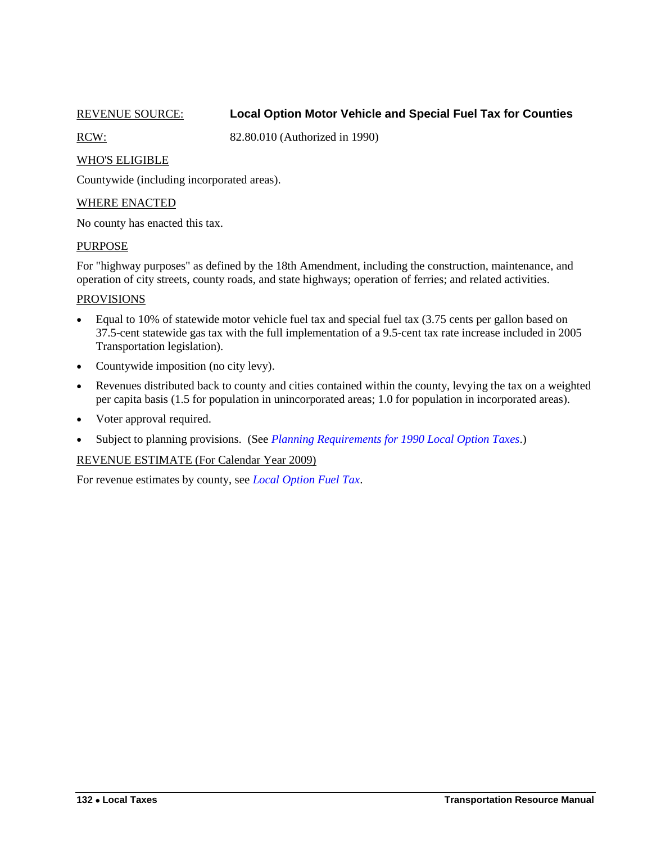<span id="page-11-0"></span>

# REVENUE SOURCE: **Local Option Motor Vehicle and Special Fuel Tax for Counties**

RCW: 82.80.010 (Authorized in 1990)

### WHO'S ELIGIBLE

Countywide (including incorporated areas).

#### WHERE ENACTED

No county has enacted this tax.

#### **PURPOSE**

For "highway purposes" as defined by the 18th Amendment, including the construction, maintenance, and operation of city streets, county roads, and state highways; operation of ferries; and related activities.

#### **PROVISIONS**

- Equal to 10% of statewide motor vehicle fuel tax and special fuel tax (3.75 cents per gallon based on 37.5-cent statewide gas tax with the full implementation of a 9.5-cent tax rate increase included in 2005 Transportation legislation).
- Countywide imposition (no city levy).
- Revenues distributed back to county and cities contained within the county, levying the tax on a weighted per capita basis (1.5 for population in unincorporated areas; 1.0 for population in incorporated areas).
- Voter approval required.
- Subject to planning provisions. (See *[Planning Requirements for 1990 Local Option Taxes](#page-19-0)*.)

#### REVENUE ESTIMATE (For Calendar Year 2009)

For revenue estimates by county, see *[Local Option Fuel Tax](#page-16-0)*.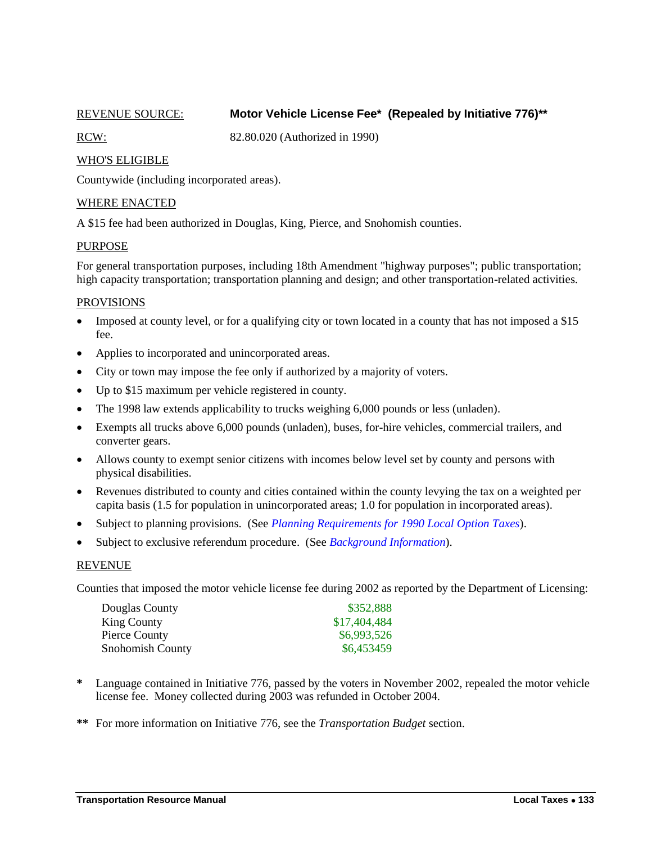### REVENUE SOURCE: **Motor Vehicle License Fee\* (Repealed by Initiative 776)\*\***

<span id="page-12-0"></span>

RCW: 82.80.020 (Authorized in 1990)

### WHO'S ELIGIBLE

Countywide (including incorporated areas).

#### WHERE ENACTED

A \$15 fee had been authorized in Douglas, King, Pierce, and Snohomish counties.

#### PURPOSE

For general transportation purposes, including 18th Amendment "highway purposes"; public transportation; high capacity transportation; transportation planning and design; and other transportation-related activities.

#### PROVISIONS

- Imposed at county level, or for a qualifying city or town located in a county that has not imposed a \$15 fee.
- Applies to incorporated and unincorporated areas.
- City or town may impose the fee only if authorized by a majority of voters.
- Up to \$15 maximum per vehicle registered in county.
- The 1998 law extends applicability to trucks weighing 6,000 pounds or less (unladen).
- Exempts all trucks above 6,000 pounds (unladen), buses, for-hire vehicles, commercial trailers, and converter gears.
- Allows county to exempt senior citizens with incomes below level set by county and persons with physical disabilities.
- Revenues distributed to county and cities contained within the county levying the tax on a weighted per capita basis (1.5 for population in unincorporated areas; 1.0 for population in incorporated areas).
- Subject to planning provisions. (See *[Planning Requirements for 1990 Local Option Taxes](#page-19-0)*).
- Subject to exclusive referendum procedure. (See *[Background Information](#page-20-0)*).

#### REVENUE

Counties that imposed the motor vehicle license fee during 2002 as reported by the Department of Licensing:

| Douglas County          | \$352,888    |
|-------------------------|--------------|
| King County             | \$17,404,484 |
| Pierce County           | \$6,993,526  |
| <b>Snohomish County</b> | \$6,453459   |

- **\*** Language contained in Initiative 776, passed by the voters in November 2002, repealed the motor vehicle license fee. Money collected during 2003 was refunded in October 2004.
- **\*\*** For more information on Initiative 776, see the *Transportation Budget* section.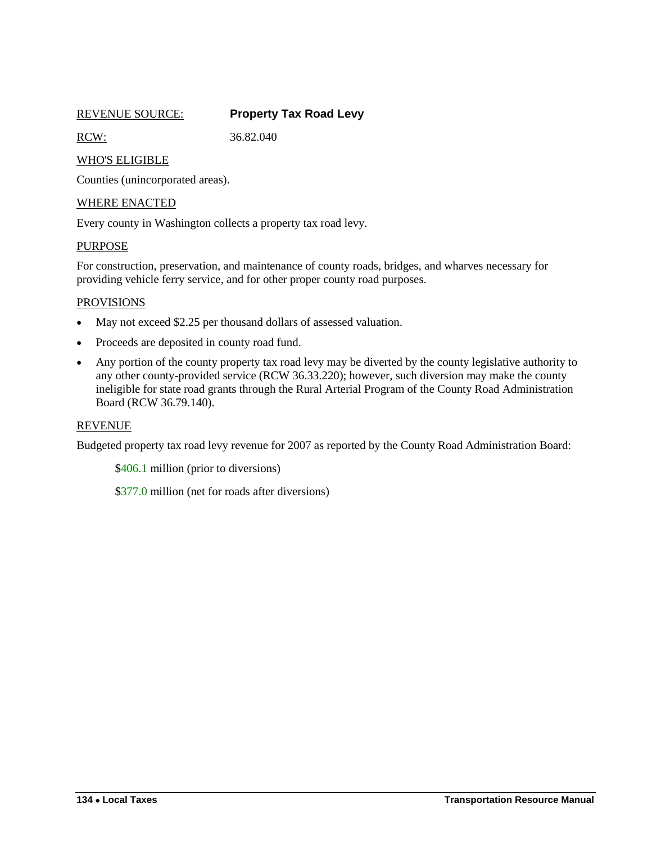<span id="page-13-0"></span>

| <b>REVENUE SOURCE:</b> | <b>Property Tax Road Levy</b> |
|------------------------|-------------------------------|
|------------------------|-------------------------------|

RCW: 36.82.040

### WHO'S ELIGIBLE

Counties (unincorporated areas).

#### WHERE ENACTED

Every county in Washington collects a property tax road levy.

#### PURPOSE

For construction, preservation, and maintenance of county roads, bridges, and wharves necessary for providing vehicle ferry service, and for other proper county road purposes.

#### PROVISIONS

- May not exceed \$2.25 per thousand dollars of assessed valuation.
- Proceeds are deposited in county road fund.
- Any portion of the county property tax road levy may be diverted by the county legislative authority to any other county-provided service (RCW 36.33.220); however, such diversion may make the county ineligible for state road grants through the Rural Arterial Program of the County Road Administration Board (RCW 36.79.140).

#### REVENUE

Budgeted property tax road levy revenue for 2007 as reported by the County Road Administration Board:

\$406.1 million (prior to diversions)

\$377.0 million (net for roads after diversions)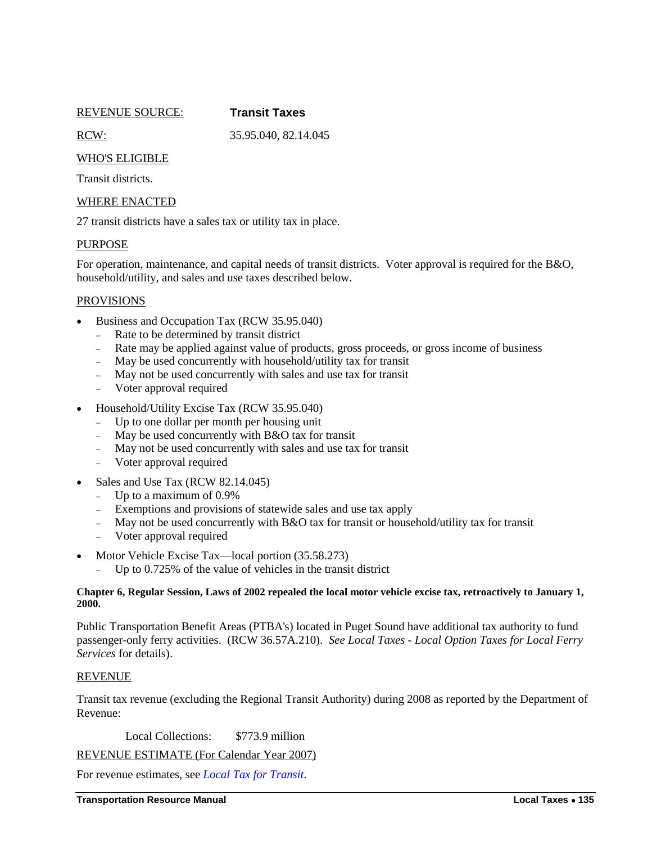REVENUE SOURCE: **Transit Taxes**

<span id="page-14-0"></span>

RCW: 35.95.040, 82.14.045

## WHO'S ELIGIBLE

Transit districts.

### WHERE ENACTED

27 transit districts have a sales tax or utility tax in place.

### PURPOSE

For operation, maintenance, and capital needs of transit districts. Voter approval is required for the B&O, household/utility, and sales and use taxes described below.

#### PROVISIONS

- Business and Occupation Tax (RCW 35.95.040)
	- Rate to be determined by transit district
	- Rate may be applied against value of products, gross proceeds, or gross income of business
	- May be used concurrently with household/utility tax for transit
	- May not be used concurrently with sales and use tax for transit
	- Voter approval required
- Household/Utility Excise Tax (RCW 35.95.040)
	- Up to one dollar per month per housing unit
	- $-May$  be used concurrently with B&O tax for transit
	- May not be used concurrently with sales and use tax for transit
	- Voter approval required
- Sales and Use Tax (RCW 82.14.045)
	- Up to a maximum of  $0.9\%$
	- Exemptions and provisions of statewide sales and use tax apply
	- May not be used concurrently with B&O tax for transit or household/utility tax for transit
	- Voter approval required
- Motor Vehicle Excise Tax—local portion (35.58.273)
	- Up to 0.725% of the value of vehicles in the transit district

#### **Chapter 6, Regular Session, Laws of 2002 repealed the local motor vehicle excise tax, retroactively to January 1, 2000.**

Public Transportation Benefit Areas (PTBA's) located in Puget Sound have additional tax authority to fund passenger-only ferry activities. (RCW 36.57A.210). *See Local Taxes - Local Option Taxes for Local Ferry Services* for details).

#### REVENUE

Transit tax revenue (excluding the Regional Transit Authority) during 2008 as reported by the Department of Revenue:

Local Collections: \$773.9 million

REVENUE ESTIMATE (For Calendar Year 2007)

For revenue estimates, see *[Local Tax for Transit](#page-17-0)*.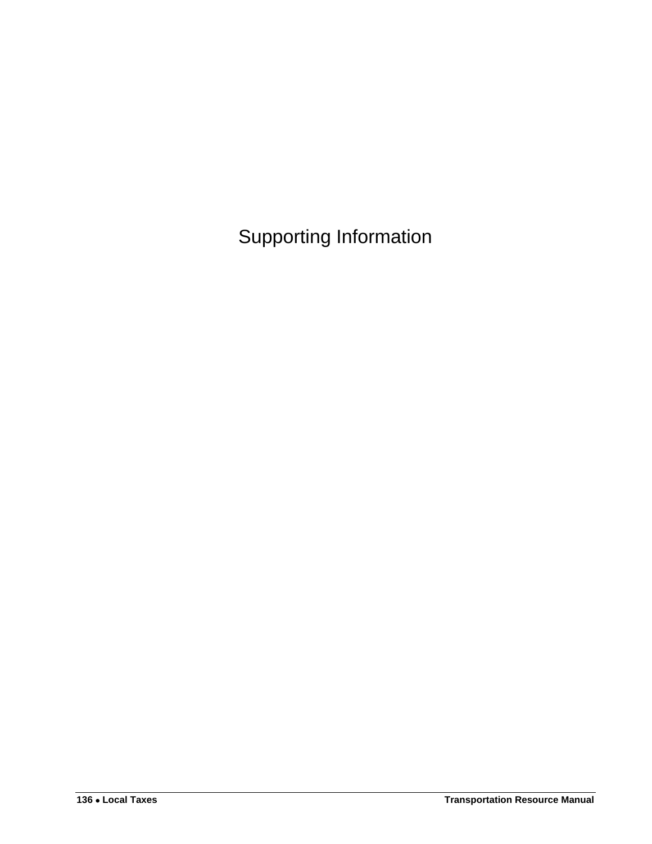<span id="page-15-0"></span>Supporting Information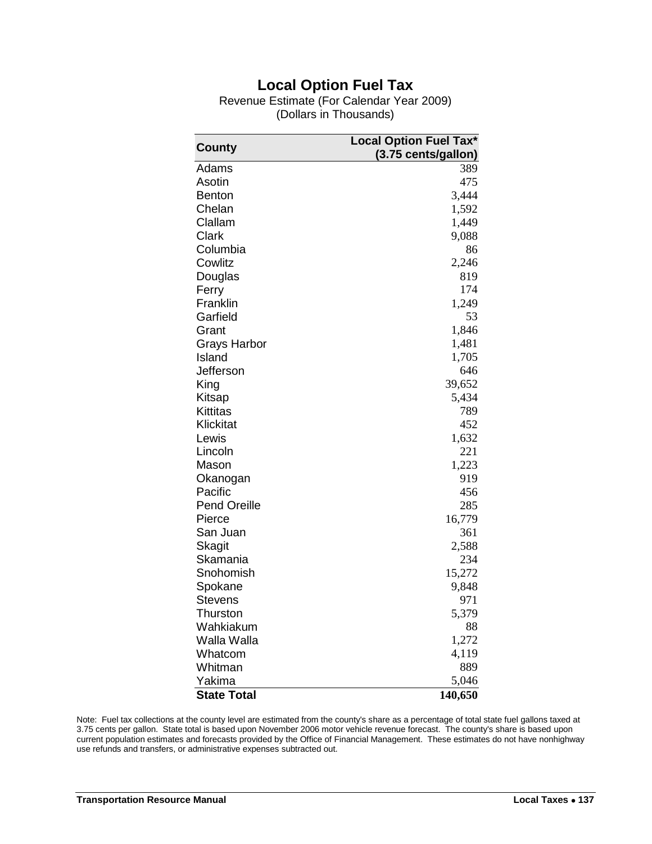# **Local Option Fuel Tax**

Revenue Estimate (For Calendar Year 2009) (Dollars in Thousands)

<span id="page-16-0"></span>

| <b>Local Option Fuel Tax*</b><br>County |                     |
|-----------------------------------------|---------------------|
|                                         | (3.75 cents/gallon) |
| Adams                                   | 389                 |
| Asotin                                  | 475                 |
| <b>Benton</b>                           | 3,444               |
| Chelan                                  | 1,592               |
| Clallam                                 | 1,449               |
| Clark                                   | 9,088               |
| Columbia                                | 86                  |
| Cowlitz                                 | 2,246               |
| Douglas                                 | 819                 |
| Ferry                                   | 174                 |
| Franklin                                | 1,249               |
| Garfield                                | 53                  |
| Grant                                   | 1,846               |
| Grays Harbor                            | 1,481               |
| Island                                  | 1,705               |
| Jefferson                               | 646                 |
| King                                    | 39,652              |
| Kitsap                                  | 5,434               |
| <b>Kittitas</b>                         | 789                 |
| Klickitat                               | 452                 |
| Lewis                                   | 1,632               |
| Lincoln                                 | 221                 |
| Mason                                   | 1,223               |
| Okanogan                                | 919                 |
| Pacific                                 | 456                 |
| <b>Pend Oreille</b>                     | 285                 |
| Pierce                                  | 16,779              |
| San Juan                                | 361                 |
| <b>Skagit</b>                           | 2,588               |
| Skamania                                | 234                 |
| Snohomish                               | 15,272              |
| Spokane                                 | 9,848               |
| <b>Stevens</b>                          | 971                 |
| Thurston                                | 5,379               |
| Wahkiakum                               | 88                  |
| Walla Walla                             | 1,272               |
| Whatcom                                 | 4,119               |
| Whitman                                 | 889                 |
| Yakima                                  | 5,046               |
| <b>State Total</b>                      | 140,650             |

Note: Fuel tax collections at the county level are estimated from the county's share as a percentage of total state fuel gallons taxed at 3.75 cents per gallon. State total is based upon November 2006 motor vehicle revenue forecast. The county's share is based upon current population estimates and forecasts provided by the Office of Financial Management. These estimates do not have nonhighway use refunds and transfers, or administrative expenses subtracted out.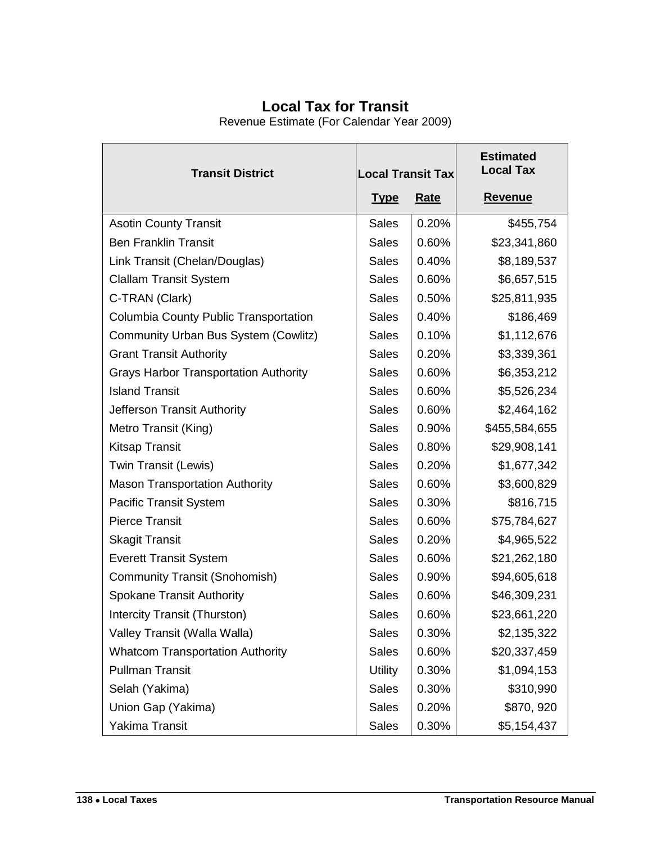# **Local Tax for Transit**

Revenue Estimate (For Calendar Year 2009)

<span id="page-17-0"></span>

| <b>Transit District</b>                      | <b>Local Transit Tax</b> |             | <b>Estimated</b><br><b>Local Tax</b> |
|----------------------------------------------|--------------------------|-------------|--------------------------------------|
|                                              | <u>Type</u>              | <b>Rate</b> | <b>Revenue</b>                       |
| <b>Asotin County Transit</b>                 | <b>Sales</b>             | 0.20%       | \$455,754                            |
| <b>Ben Franklin Transit</b>                  | <b>Sales</b>             | 0.60%       | \$23,341,860                         |
| Link Transit (Chelan/Douglas)                | <b>Sales</b>             | 0.40%       | \$8,189,537                          |
| <b>Clallam Transit System</b>                | <b>Sales</b>             | 0.60%       | \$6,657,515                          |
| C-TRAN (Clark)                               | <b>Sales</b>             | 0.50%       | \$25,811,935                         |
| Columbia County Public Transportation        | <b>Sales</b>             | 0.40%       | \$186,469                            |
| Community Urban Bus System (Cowlitz)         | <b>Sales</b>             | 0.10%       | \$1,112,676                          |
| <b>Grant Transit Authority</b>               | <b>Sales</b>             | 0.20%       | \$3,339,361                          |
| <b>Grays Harbor Transportation Authority</b> | <b>Sales</b>             | 0.60%       | \$6,353,212                          |
| <b>Island Transit</b>                        | <b>Sales</b>             | 0.60%       | \$5,526,234                          |
| Jefferson Transit Authority                  | <b>Sales</b>             | 0.60%       | \$2,464,162                          |
| Metro Transit (King)                         | <b>Sales</b>             | 0.90%       | \$455,584,655                        |
| <b>Kitsap Transit</b>                        | <b>Sales</b>             | 0.80%       | \$29,908,141                         |
| Twin Transit (Lewis)                         | <b>Sales</b>             | 0.20%       | \$1,677,342                          |
| <b>Mason Transportation Authority</b>        | <b>Sales</b>             | 0.60%       | \$3,600,829                          |
| <b>Pacific Transit System</b>                | <b>Sales</b>             | 0.30%       | \$816,715                            |
| <b>Pierce Transit</b>                        | <b>Sales</b>             | 0.60%       | \$75,784,627                         |
| <b>Skagit Transit</b>                        | <b>Sales</b>             | 0.20%       | \$4,965,522                          |
| <b>Everett Transit System</b>                | <b>Sales</b>             | 0.60%       | \$21,262,180                         |
| <b>Community Transit (Snohomish)</b>         | <b>Sales</b>             | 0.90%       | \$94,605,618                         |
| <b>Spokane Transit Authority</b>             | <b>Sales</b>             | 0.60%       | \$46,309,231                         |
| Intercity Transit (Thurston)                 | <b>Sales</b>             | 0.60%       | \$23,661,220                         |
| Valley Transit (Walla Walla)                 | <b>Sales</b>             | 0.30%       | \$2,135,322                          |
| <b>Whatcom Transportation Authority</b>      | <b>Sales</b>             | 0.60%       | \$20,337,459                         |
| <b>Pullman Transit</b>                       | <b>Utility</b>           | 0.30%       | \$1,094,153                          |
| Selah (Yakima)                               | Sales                    | 0.30%       | \$310,990                            |
| Union Gap (Yakima)                           | <b>Sales</b>             | 0.20%       | \$870, 920                           |
| <b>Yakima Transit</b>                        | <b>Sales</b>             | 0.30%       | \$5,154,437                          |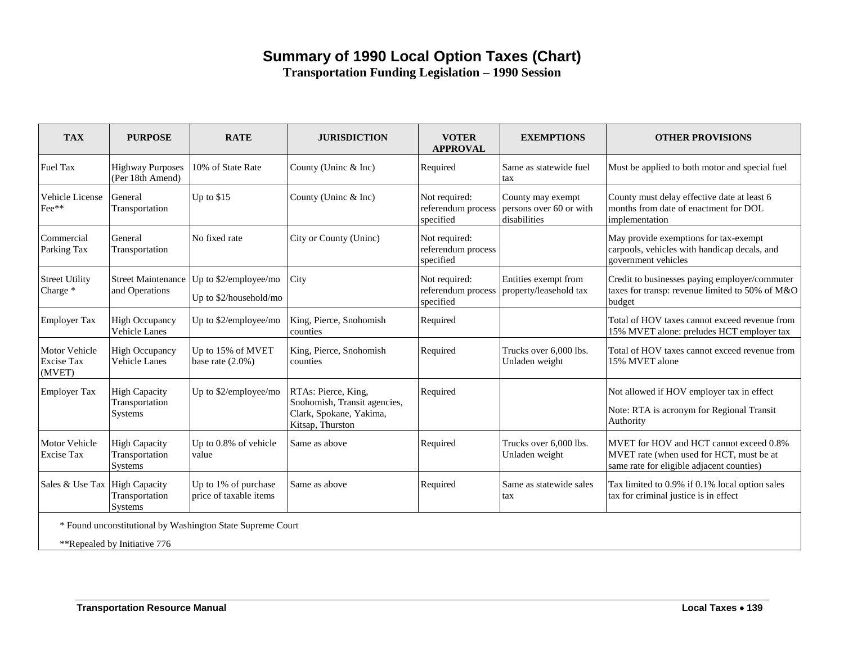# **Summary of 1990 Local Option Taxes (Chart)**

**Transportation Funding Legislation – 1990 Session**

<span id="page-18-0"></span>

| <b>TAX</b>                                          | <b>PURPOSE</b>                                           | <b>RATE</b>                                                | <b>JURISDICTION</b>                                                                                | <b>VOTER</b><br><b>APPROVAL</b>                  | <b>EXEMPTIONS</b>                                            | <b>OTHER PROVISIONS</b>                                                                                                          |
|-----------------------------------------------------|----------------------------------------------------------|------------------------------------------------------------|----------------------------------------------------------------------------------------------------|--------------------------------------------------|--------------------------------------------------------------|----------------------------------------------------------------------------------------------------------------------------------|
| Fuel Tax                                            | <b>Highway Purposes</b><br>(Per 18th Amend)              | 10% of State Rate                                          | County (Unine & Inc)                                                                               | Required                                         | Same as statewide fuel<br>tax                                | Must be applied to both motor and special fuel                                                                                   |
| Vehicle License<br>Fee**                            | General<br>Transportation                                | Up to $$15$                                                | County (Uninc & Inc)                                                                               | Not required:<br>referendum process<br>specified | County may exempt<br>persons over 60 or with<br>disabilities | County must delay effective date at least 6<br>months from date of enactment for DOL<br>implementation                           |
| Commercial<br>Parking Tax                           | General<br>Transportation                                | No fixed rate                                              | City or County (Uninc)                                                                             | Not required:<br>referendum process<br>specified |                                                              | May provide exemptions for tax-exempt<br>carpools, vehicles with handicap decals, and<br>government vehicles                     |
| <b>Street Utility</b><br>Charge *                   | <b>Street Maintenance</b><br>and Operations              | Up to $$2/emplovee/mo$<br>Up to \$2/household/mo           | City                                                                                               | Not required:<br>referendum process<br>specified | Entities exempt from<br>property/leasehold tax               | Credit to businesses paying employer/commuter<br>taxes for transp: revenue limited to 50% of M&O<br>budget                       |
| <b>Employer Tax</b>                                 | <b>High Occupancy</b><br>Vehicle Lanes                   | Up to \$2/employee/mo                                      | King, Pierce, Snohomish<br>counties                                                                | Required                                         |                                                              | Total of HOV taxes cannot exceed revenue from<br>15% MVET alone: preludes HCT employer tax                                       |
| <b>Motor Vehicle</b><br><b>Excise Tax</b><br>(MVET) | <b>High Occupancy</b><br><b>Vehicle Lanes</b>            | Up to 15% of MVET<br>base rate $(2.0\%)$                   | King, Pierce, Snohomish<br>counties                                                                | Required                                         | Trucks over 6,000 lbs.<br>Unladen weight                     | Total of HOV taxes cannot exceed revenue from<br>15% MVET alone                                                                  |
| <b>Employer Tax</b>                                 | <b>High Capacity</b><br>Transportation<br>Systems        | Up to \$2/employee/mo                                      | RTAs: Pierce, King,<br>Snohomish, Transit agencies,<br>Clark, Spokane, Yakima,<br>Kitsap, Thurston | Required                                         |                                                              | Not allowed if HOV employer tax in effect<br>Note: RTA is acronym for Regional Transit<br>Authority                              |
| Motor Vehicle<br><b>Excise Tax</b>                  | <b>High Capacity</b><br>Transportation<br><b>Systems</b> | Up to 0.8% of vehicle<br>value                             | Same as above                                                                                      | Required                                         | Trucks over 6,000 lbs.<br>Unladen weight                     | MVET for HOV and HCT cannot exceed 0.8%<br>MVET rate (when used for HCT, must be at<br>same rate for eligible adjacent counties) |
| Sales & Use Tax                                     | <b>High Capacity</b><br>Transportation<br>Systems        | Up to 1% of purchase<br>price of taxable items             | Same as above                                                                                      | Required                                         | Same as statewide sales<br>tax                               | Tax limited to 0.9% if 0.1% local option sales<br>tax for criminal justice is in effect                                          |
|                                                     | **Repealed by Initiative 776                             | * Found unconstitutional by Washington State Supreme Court |                                                                                                    |                                                  |                                                              |                                                                                                                                  |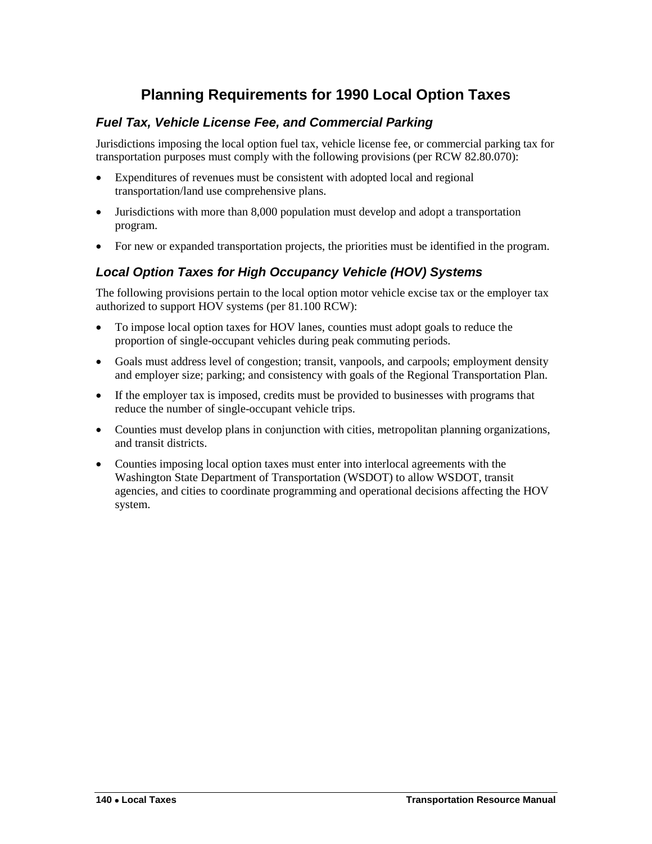# **Planning Requirements for 1990 Local Option Taxes**

# <span id="page-19-0"></span>*Fuel Tax, Vehicle License Fee, and Commercial Parking*

Jurisdictions imposing the local option fuel tax, vehicle license fee, or commercial parking tax for transportation purposes must comply with the following provisions (per RCW 82.80.070):

- Expenditures of revenues must be consistent with adopted local and regional transportation/land use comprehensive plans.
- Jurisdictions with more than 8,000 population must develop and adopt a transportation program.
- For new or expanded transportation projects, the priorities must be identified in the program.

# *Local Option Taxes for High Occupancy Vehicle (HOV) Systems*

The following provisions pertain to the local option motor vehicle excise tax or the employer tax authorized to support HOV systems (per 81.100 RCW):

- To impose local option taxes for HOV lanes, counties must adopt goals to reduce the proportion of single-occupant vehicles during peak commuting periods.
- Goals must address level of congestion; transit, vanpools, and carpools; employment density and employer size; parking; and consistency with goals of the Regional Transportation Plan.
- If the employer tax is imposed, credits must be provided to businesses with programs that reduce the number of single-occupant vehicle trips.
- Counties must develop plans in conjunction with cities, metropolitan planning organizations, and transit districts.
- Counties imposing local option taxes must enter into interlocal agreements with the Washington State Department of Transportation (WSDOT) to allow WSDOT, transit agencies, and cities to coordinate programming and operational decisions affecting the HOV system.